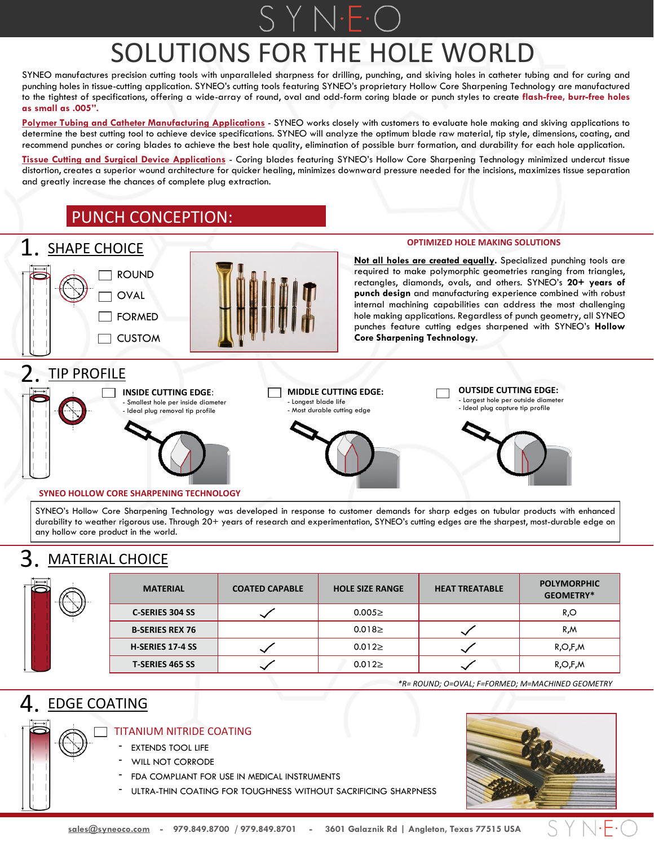# SOLUTIONS FOR THE HOLE WORLD

SYNEO manufactures precision cutting tools with unparalleled sharpness for drilling, punching, and skiving holes in catheter tubing and for curing and punching holes in tissue-cutting application. SYNEO's cutting tools featuring SYNEO's proprietary Hollow Core Sharpening Technology are manufactured to the tightest of specifications, offering a wide-array of round, oval and odd-form coring blade or punch styles to create **flash-free, burr-free holes as small as .005".**

**Polymer Tubing and Catheter Manufacturing Applications** - SYNEO works closely with customers to evaluate hole making and skiving applications to determine the best cutting tool to achieve device specifications. SYNEO will analyze the optimum blade raw material, tip style, dimensions, coating, and recommend punches or coring blades to achieve the best hole quality, elimination of possible burr formation, and durability for each hole application.

**Tissue Cutting and Surgical Device Applications** - Coring blades featuring SYNEO's Hollow Core Sharpening Technology minimized undercut tissue distortion, creates a superior wound architecture for quicker healing, minimizes downward pressure needed for the incisions, maximizes tissue separation and greatly increase the chances of complete plug extraction.

# PUNCH CONCEPTION:



#### **SYNEO HOLLOW CORE SHARPENING TECHNOLOGY**

SYNEO's Hollow Core Sharpening Technology was developed in response to customer demands for sharp edges on tubular products with enhanced durability to weather rigorous use. Through 20+ years of research and experimentation, SYNEO's cutting edges are the sharpest, most-durable edge on any hollow core product in the world.

# 3. MATERIAL CHOICE

| ` ←→ <br>$\overline{\mathbb{C}}$ | <b>MATERIAL</b>         | <b>COATED CAPABLE</b> | <b>HOLE SIZE RANGE</b> | <b>HEAT TREATABLE</b> | <b>POLYMORPHIC</b><br>GEOMETRY* |
|----------------------------------|-------------------------|-----------------------|------------------------|-----------------------|---------------------------------|
|                                  | <b>C-SERIES 304 SS</b>  |                       | 0.0052                 |                       | R,O                             |
|                                  | <b>B-SERIES REX 76</b>  |                       | $0.018 \geq$           |                       | R,M                             |
|                                  | <b>H-SERIES 17-4 SS</b> |                       | $0.012 \geq$           |                       | R, O, F, M                      |
|                                  | <b>T-SERIES 465 SS</b>  |                       | 0.0122                 |                       | R, O, F, M                      |

*\*R= ROUND; O=OVAL; F=FORMED; M=MACHINED GEOMETRY*

# 4. EDGE COATING



- TITANIUM NITRIDE COATING
	- EXTENDS TOOL LIFE
	- WILL NOT CORRODE
	- FDA COMPLIANT FOR USE IN MEDICAL INSTRUMENTS
	- ULTRA-THIN COATING FOR TOUGHNESS WITHOUT SACRIFICING SHARPNESS